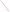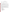#### **OVERVIEW SECTION**

**AGENCY:** ENVIRONMENTAL PROTECTION AGENCY (EPA) **TITLE: "**CLEAN SCHOOL BUS USA ASSISTANCE AGREEMENTS" **ACTION:** REQUEST FOR APPLICATIONS – Initial Announcement **RFA NO:** OAR-CCD-05-13

### **CATALOG OF FEDERAL DOMESTIC ASSISTANCE (CFDA) No.:** 66.036

**DATES:** The closing date and time for receipt of Applications is July 22, 2005, 5:00 Eastern Time. All applications, however transmitted, must be received in the Program Office by the closing date and time to receive consideration.

To allow for efficient management of the competitive process, EPA requests that eligible organizations submit an informal notice of "Intent to Apply" by June 24, 2005. Submission of an **Intent to Apply** is optional; it is a process management tool that will allow EPA to better anticipate the total staff time required for efficient review, evaluation, and selection of submitted applications.

**SUMMARY:** This notice announces the availability of funds and solicits applications from school districts, including federally recognized Indian tribes which operate schools, for retrofit and/or replacement projects that reduce pollution from school buses through the use of EPA verified or certified and/or California Air Resources Board verified pollution reduction technologies. There is a 5% cost-share required for these projects.

**FUNDING/AWARDS:** The total estimated funding for this competitive opportunity shall not exceed \$7.5 million. The amount of funding associated with an individual award may be up to \$725,000, with an anticipated average value of \$200,000 - \$300,000. Approximately 20-30 awards will be made.

#### **CONTENTS BY SECTION**

Overview Information

- I. Funding Opportunity Description
- II. Award Information
- III. Eligibility Information
- IV. Application and Submission Information
- V. Application Review Information
- VI. Award Administration Information
- VII. Agency Contacts
- VIII. Other Information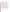### **Section I – Funding Opportunity Description**

#### **A. Background.**

Diesel exhaust has health implications for everyone. EPA is working aggressively to reduce pollution from new heavy-duty diesel engines, by requiring them to meet tougher emission standards in the future. The current standards took effect in 2004. An even more stringent set of standards will take effect in 2007. At that time, new heavy-duty vehicles will be up to 95 percent cleaner than those engines manufactured before 2004. However, diesel engines are durable and long-lasting. It will take a long time for new vehicles to replace the heavy-duty buses currently on the road.

Children are especially sensitive to air pollution because their respiratory systems are still developing and they have a faster breathing rate. More than 24 million children ride a bus to and from school everyday, spending roughly 3 billion hours on school buses each year. Recent studies suggest that children's school bus commutes potentially expose children to significantly higher concentrations of pollutants than what is measured in the community's outdoor air. Statistics show that school buses are the safest way to transport children. EPA wants to ensure that they are also the cleanest way to transport children.

The Clean School Bus USA program is designed to reduce children's exposure to diesel exhaust from school buses. There are about 440,000 school buses on the road today, of which 400,000 are diesel. Older technology buses produce as much as six times the pollution as a new school bus. About one-third of these buses were manufactured before 1990. These buses are the heaviest polluters and should be replaced. The remaining two-thirds of the school buses were manufactured between 1990 and 2003. These buses can be made much cleaner by retrofitting them with devices designed to reduce pollution and switching to cleaner fuels. EPA's Clean School Bus USA initiative has three primary goals: 1) reduce school bus idling; 2) retrofit existing buses with devices and/or cleaner fuels that reduce pollution, and 3) replace the oldest buses with new, cleaner buses. By providing assistance funding for successful approaches to reducing pollution from school buses, EPA is making available an important tool for school districts across the country to implement clean school bus projects.

Replacement, retrofit and/or cleaner fuels projects for school bus fleets will all be considered for this grant competition.

For examples of clean school bus projects, see EPA's Clean School Bus USA web site's Demonstration Projects page: [\(http://www.epa.gov/otaq/schoolbus/demo\\_projects.htm\)](http://www.epa.gov/otaq/schoolbus/demo_projects.htm)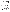### **B. Scope of Work.**

EPA is soliciting grant applications to assist school districts in their efforts to reduce pollution from diesel-powered school buses through the use of EPA –verified<sup>1</sup> or certified, or California Air Resources Board (CARB) -verified, pollution reduction technology.

Applicants are advised that retrofit and/or replacement technologies must be verified or certified technologies through EPA's verification program or another EPA certification program or CARB verified. A list of EPA verified technologies is available at:

[http://www.epa.gov/otaq/retrofit/retroverifiedlist.htm.](http://www.epa.gov/otaq/retrofit/retroverifiedlist.htm) CARB listed technologies may be found at [http://www.arb.ca.gov/diesel/verdev/verdev.htm.](http://www.arb.ca.gov/diesel/verdev/verdev.htm)

Applicants may propose to establish a sub-grant program to multiple school districts and fleets. The applicant must indicate a process by which they will award sub-grants to other school districts. EPA suggests that the evaluation criteria for this sub-grant process be modeled on this RFA's evaluation criteria. Note that letters of support are strongly suggested from possible sub-grantees.

Applications will be accepted from school districts that propose to establish sub-contracts with the commercial school bus company(ies) providing their student transportation service to retrofit or replace buses owned by the commercial company(ies). Neither participation in such a sub-contract program nor award by EPA and acceptance by the school district of program funds is intended to establish any property rights or affect any liability with respect to any equipment purchased or modified under the program.

## **Retrofit, Replacement and Cleaner Fuels Options**

This federal assistance funding program is for school districts to help modernize diesel fleets to lower diesel emissions. Strategies to be considered under this program include the retrofit or replacement of existing buses and switching to cleaner fuels:

**1. Retrofit**: After-treatment emissions control technology options include diesel particulate filters, diesel oxidation catalysts, closed crankcase systems and ECM reprograms, among others. It should be noted that diesel particulate filters need to be used in conjunction with ultra-low sulfur diesel fuel. In addition, filters may not be appropriate for all duty cycles and vehicles; datalogging of some vehicles by vendors must take place in order to assure that filters are an appropriate application for the particular fleet. The purpose of the datalogging is to determine which technology will work; the applicant should provide information about plans for datalogging if filters are the chosen technology. Datalogging is routinely provided by vendors and should not be included in the project budget. EPA will provide up to 100 percent of the costs for these retrofit technologies.

**2. Engine upgrades for cleaner emissions**: Some engines may be able to be upgraded to newer

 $\overline{a}$ 

<sup>1</sup> EPA's verification process evaluates retrofit technologies under a range of conditions and quantifies the percent reduction in emissions that the technology achieves. The verification process also identifies engine operating criteria and conditions that must exist for these technologies to achieve the verified reductions. A list of verified or certified technologies is available at:<http://www.epa.gov/otaq/retrofit/retroverifiedlist.htm>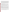certified configurations or even verified cleaner versions using manufacturer recommended upgrades or kits to certified or verified configurations. These upgrades may include the addition of newer, cleaner technologies, re-calibrations, and/or other parts to reduce the emissions from the engines. Preference will be given to engine upgrades that include combined verified improvements which will further reduce emissions, e.g., through the addition of verified retrofit technologies such as a diesel particulate filter, diesel oxidation catalyst or crankcase emission control. If engine upgrades are proposed, then it is advised that the applicant provide background information that suggests that applicant has investigated applicability of upgrading a particular engine. EPA will provide up to 50 percent of the cost of an engine repower or upgrade, including the addition of verified aftertreatment devices. Preference will be given to applications requesting a lower percentage.

**3. Cleaner fuels:** These include ultra-low sulfur diesel fuel, biodiesel, compressed natural gas, propane and emulsions verified by EPA or listed by CARB. EPA will pay for the cost differential between the cleaner fuel and standard diesel fuel.

**4. Replacement**: Both buses and engines can be replaced under this program. For both bus replacement and engine replacement, the application must show plans to scrap the old engines. Evidence of scrappage must be provided to EPA in the final report. "Scrapped" is defined as a permanently disabled engine, no longer suitable for use in a vehicle, such as a hole drilled in the block. The school district may retain possession of the scrapped engine and/or chassis. Applicants may propose an alternative to scrappage, such as remanufacturing an engine to meet newer standards for emissions. EPA will consider such requests on a limited case-by-case basis.

**a. Bus Replacement**: EPA is encouraging the replacement of the oldest buses in the nation, especially those pre-dating 1977 (the newest year of manufacture to be considered for replacement is 1992). EPA will pay a range of the percentage of the cost of a new cleaner emissions bus, with the top of the range between 30 and 45 percent. Preference will be given to applications requesting a lower percentage.

**b. Engine Replacement**: Older engines may be replaced with newer engines under this program. Preference will be given to engine replacements that include verified improvements which will further reduce emissions, e.g., through the addition of verified retrofit technologies such as a diesel particulate filter, diesel oxidation catalyst or crankcase emission control. Applicants should provide information in their application to show the feasibility of an engine replacement strategy, as engine and vehicle design differences may make some engine replacements difficult. As noted in the above paragraph, the replaced engines must be scrapped. EPA will pay for up to 50 percent of an engine replacement. Preference will be given to applications requesting a lower percentage.

NOTE: It is not EPA's intention to fund replacement projects that would have occurred through the normal attrition of vehicles and equipment or to provide funds for expanding a fleet. Therefore, applicants must provide documentation in their applications that the replacement activity would not have occurred without the financial assistance provided by the agency.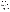## **C. EPA Strategic Plan Linkage and Anticipated Outcomes/Outputs.**

1. *Linkage to EPA Strategic Plan***.** This project support progress towards EPA's Strategic Plan Goal 1: Clean Air and Global Climate Change; Objectives 1.1 (Healthier Outdoor Air). The following Sub-Objectives also apply: 1.1.1 (More People Breathing Cleaner Air) and 1.1.2 (Reduce Risk from Toxic Air Pollutants). This project meets Goal 1, its first Objective, and two Sub-Objectives by retrofitting or replacing older, polluting school buses, and/or using cleaner fuels with those bus fleets, which will reduce particulate matter, ozone, and diesel exhaust -- a probable human carcinogen (sub-objective 1.1). Diesel engines in school buses emit particulate matter, and precursors to secondarily formed particulate matter and ozone as well as emitting other air toxics. Exposure to diesel exhaust and associated pollutants can cause lung damage, trigger respiratory problems, exacerbate asthma and existing allergies, and has been linked to heart disease and premature death. Long-term exposure to ambient particulate matter is thought to increase the risk of lung cancer.

2**.** *Outcomes***.** Through this project EPA anticipates reducing particulate matter pollution from a range of 20 – 90% per vehicle, depending on the technology pathways chosen voluntarily by school districts under this program. The program would also result in significant reductions in nitrogen oxides, sulfur oxides, and air toxics as well. Reductions in pollution emissions are intermediate outcomes to measure progress toward contributing to end outcomes of improved ambient air quality and reduced mortality and morbidity from air pollution.

- 3. *Outputs***.** The anticipated output for this project is:
- ~ Approximately 4,000 buses retrofitted, replaced and/or using cleaner fuels
- ~ Approximately 500,000 children riding cleaner buses each day
- ~ Approximately 60 new idling reduction policies in place or existing policies renewed

## **D. Supplementary Information.**

The statutory authority for this action is the Consolidated Appropriations Act of 2005, Public Law 108-447, enacted December 8, 2004 which authorizes EPA to establish a cost-shared grant program for the necessary upgrades of diesel school buses.

# **Section II – Award Information**

# **A. What is the amount of funding available?**

The total estimated funding for this competitive opportunity shall not exceed \$7.5 million. The amount of funding associated with an individual award may be up to \$725,000, with an anticipated average value of \$200,000 - \$300,000. Approximately 20-30 awards will be made.

# **B. How many agreements will EPA award in this competition?**

EPA anticipates awarding up to 30 cooperative agreements, subject to availability of funds and the quality of applications submitted. Applications evaluated, but not selected for this funding, may be retained for consideration for possible future award within six months of the original selection decision.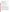Cooperative agreements permit substantial involvement between the EPA Project Officer and the selected applicants in the performance of the work supported. Although EPA will negotiate precise terms and conditions relating to substantial involvement as part of the award process, the anticipated substantial Federal involvement for this project will be:

- 1. monitoring closely the successful applicant(s) performance;
- 2. collaborating during the performance of the scope of work;
- 3. in accordance with 40 C.F.R. 31.36 (g), review of proposed procurements;
- 4. approving proposed changes to work plan and/or budget;
- 5. approving qualifications of key personnel;
- 6. reviewing and commenting on reports prepared under the assistance agreement.

EPA will not select employees or contractors employed by the recipients and the final decision on the content of reports rests with the recipients. Recipients will be given a template by the EPA Project Officer for both quarterly and final reports.

# **C. What is the project period for awards resulting from this solicitation?**

The estimated project period for awards resulting from this solicitation is October, 2005 through October, 2007.

# **D. Can funding be used to acquire services or fund partnerships?**

Yes, provided that grantees comply with the procedures for procurement and sub-award or subgrants contained in 40 CFR Parts 30 or 31, as applicable.

Successful applicants must compete contracts for services and products and conduct cost, price and value analyses to the extent required by these regulations as well as any regulations covered by state or local procurement requirements. The regulations also contain limitations on consultant compensation. Applicants are not required to identify contractors or consultants in their application. Moreover, the fact that a successful applicant has named a specific contractor or consultant in the application EPA approves does not relieve it of its obligations to comply with competitive procurement requirements as well as any regulations covered by state or local procurement requirements.

Sub-grants or sub-awards may be used to fund partnerships with non-profit organizations and governmental entities, or to provide financial assistance for retrofitting commercial school bus fleet operators. Successful applicants cannot use sub-grants or sub-awards to avoid requirements in EPA grant regulations for competitive procurement by using these instruments to acquire commercial services or products to carry out its cooperative agreement. The nature of the transaction between the recipient and the sub-grantee must be consistent with the standards for distinguishing between vendor transactions and sub-recipient assistance under Subpart B Section .210 of [OMB Circular A-](http://www.whitehouse.gov/omb/circulars/a133/a133.html)[133,](http://www.whitehouse.gov/omb/circulars/a133/a133.html) and the definitions of "sub-award" at 40 CFR 30.2(ff) or "sub-grant" at 40 CFR 31.3, as applicable.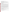Please note that EPA will not be a party to these transactions.

## **E. Can projects be partially funded?**

EPA reserves the right to partially fund proposals/applications by funding discrete activities, portions, or phases of the proposed project. If EPA decides to partially fund the proposal/application, it will do so in a manner that does not prejudice any applicants or affect the basis upon which the proposal/application, or portion thereof, was evaluated and selected for award, and that maintains the integrity of the competition and the evaluation/selection process.

## **Section III. Eligibility Information.**

## **A. Eligible Entities.**

Applications will be accepted from U.S. public school districts, including federally recognized tribal organizations that operate schools. Groups of school districts, such as School District Councils and BOCES (Boards of Cooperative Educational Services) are eligible.

School districts are defined generally as a local or tribal governmental entity with authority to operate public primary, middle, and secondary schools or to contract for public school services. School districts have powers similar to that of a county or city, including taxation and eminent domain. School districts are usually governed by a school board or board of trustees, with day-today operations carried out by a superintendent, who functions as the district's chief executive.

Councils or cooperatives of school districts which have been formed under state law, and which generally hold the same legal status as its member districts, are formed to consolidate many educational services, including procurement of goods and services. Councils or cooperatives may submit a single application on behalf of their member districts if a single award would more efficiently carry out the purposes of the grant and must identify which eligible school districts will be the recipients of subgrants under the award, if any. Subgrants must be consistent with the definition of that term in 40 CFR 31.3 and the provisions of 40 CFR 31.37(b).

*All school districts are eligible to apply, whether they own school bus fleets or contracts for transportation services with a privately owned fleet. A publicly owned fleet is NOT a requirement for eligibility. Owners of privately owned fleets cannot are not eligible to receive grants under this authority but can receive subgrants from a school district.* 

# **B. Cost-Sharing or Matching.**

All applicants must contribute a minimum of 5 percent of the total project cost. The cost-share may be provided in the form of cash or an "in-kind" contribution. An in-kind contribution is the reasonable value of property and services which benefit the project. Applications which do not meet this minimum cost share requirement will not be considered further.

Matching funds must comply with 40 CFR 31.24.

# **C. Threshold Evaluation Criteria.**

Applications must meet requirements for eligibility, per *Section III.A*., cost-share per *Section III.B.*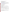and deadlines per *Section IV.C.* or they will not be considered for award.

## **Section IV – Application and Submission Information.**

## **A. How to Obtain Application Package.**

Applicants may download individual grant application forms, or electronically request a paper application package and an accompanying computer CD of information related to applicants/grant recipients roles and responsibilities from EPA's Grants and Debarment website by visiting: [http://www.epa.gov/ogd/grants/how\\_to\\_apply.htm.](http://www.epa.gov/ogd/grants/how_to_apply.htm)

Please note that only the one-page Standard Form 424 needs to be included in the initial application, along with the work narrative, budget, and the Fleet Information Table. If your application is selected, the entire grants package will need to be completed at that time.

## **B. Content and Form of Application Submission**

1.Applications must contain the following:

- a. Signed Standard Form 424 (one page)
- b. Fleet Information Table (see below)
- c. Narrative Work Plan following the **required** outline below (10 pages maximum)
- d. Budget Detail & Narrative

2. In addition, optional materials such as letters of support from potential sub-awardees or partners and/or a copy of the district's idling reduction policy, should be included if applicable.

## **Fleet Information Table**

For each bus in the fleet, include the identification number, the chassis manufacturer, bus type (A, B, C or D), chassis model year, engine manufacturer, engine model number and year, annual vehicle miles traveled and/or annual hours of operation, annual fuel usage and retrofit or replacement option selected. See Table A below for a suggested format for this information.

## **Table A.**

| # | <b>Bus</b><br>ID# | <b>Bus</b><br><b>Chassis</b><br>Mfr. | <b>Bus Type</b><br>(A,B,C,D) | <b>Chassis</b><br><b>Model</b><br>Year | <b>Engine</b><br>Mfr. | <b>Engine</b><br><b>Model</b><br>$#$ and<br>Year | Annual<br><b>Vehicle</b><br><b>Miles</b><br><b>Traveled</b> | <b>Fuel</b><br><b>Usage</b><br>(Gal/Yr) | <b>Retrofit or</b><br><b>Replacement</b><br>Option |
|---|-------------------|--------------------------------------|------------------------------|----------------------------------------|-----------------------|--------------------------------------------------|-------------------------------------------------------------|-----------------------------------------|----------------------------------------------------|
|   |                   |                                      |                              |                                        |                       |                                                  |                                                             |                                         |                                                    |
|   |                   |                                      |                              |                                        |                       |                                                  |                                                             |                                         |                                                    |
|   |                   |                                      |                              |                                        |                       |                                                  |                                                             |                                         |                                                    |

# **Narrative Work Plan Required Outline**

The narrative, a maximum of 10 pages in length, not including the Fleet Information Table, budget and optional materials per *Section IV.B.2*, should follow the outline below. Narrative pages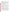exceeding the maximum length of 10 pages will not be considered. Refer to the criteria below in *Section IV., Selection Criteria*, for more information on how to write your application and how EPA will evaluate the applications.

**1. Describe the school bus fleet in general and its history:** Beyond the Fleet Information Table, the following information must be provided, or if not provided, a reasonable explanation should be included: number of buses in the targeted fleet(s), the number of students riding the fleet, the number of students in the entire district, the fleet replacement rate, the type of retrofit technology that may be used, and the number of buses or engines that may be retrofitted or replaced. Also indicate what entity owns the buses, operates the buses, and maintains the buses, and any other general information about the fleet and its history. Bus and engine replacement projects should provide supporting documentation in the application that the replacement activity would not have occurred without the financial assistance provided by the Agency.

## **2. Project Description and Implementation Plan**:

A. Describe the project in detail: the technology(ies) and/or fuels to be used, the vehicles to be retrofitted or replaced, partnerships involved, and a timeline for the project. Include information that shows that the chosen strategy has been researched and will be successful/suitable in the specified application. The timeline needs to include plans for bid, ordering and installation phases, as well as any other events that impact the overall application.

B. Discuss how your chosen diesel pollution reduction strategy contributes to EPA's goal of most beneficial and effective diesel emissions cleanup. EPA is promoting technologies and strategies that most effectively reduce pollution from the existing fleet of school buses, especially the oldest and most polluting. Make an argument for how the strategy chosen for this project will contribute to EPA's goal of employing the most beneficial clean up strategies in diesel pollution reduction. Also discuss what outputs and outcomes you plan to attain with your project (it is not necessary to calculate PM reductions).

C. Discuss the sustainability, likelihood for success and partner support of your project. Information should be presented about how the results of this project will carry on into the future: how skilled staff will be trained; how effective implementation strategies will be identified and replicated; and, how results will be shared. If appropriate, information should be provided about any existing school bus retrofit projects including the number and type of vehicles, type of technology, funding level, partners involved, and challenges overcome. Partner Support: The district should include letters of support from any participating partners, fleets (public or private) or school districts. These letters could include information on any matching funds or in-kind resources that partners will provide. Applications which cover more than one district or fleet are encouraged.

D. Discuss the other policies that the district follows which demonstrate a commitment to pollution reduction, especially idling reduction. Examples of other policies include anti-idling/idling reduction policies for school buses and other vehicles on school property, indoor air quality improvements such as *Indoor Air Quality Tools for Schools*, energy efficiency measures, or other pollution reduction/education programs. A copy of the district's written policy(ies) is preferred.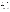E. Any other information to help the Selection Panel better understand your proposed work plan.

### **3. Budget**

Prepare a budget narrative. Indicate the amount of funding being requested from EPA and provide the total cost of project (identify other funding sources including any in-kind resources). Clearly explain how EPA funds will be used as well as how any matching contributions – both financial and in-kind services – will be used. Provide a budget for the following categories:

- Personnel
- Fringe Benefits
- Contractual Costs
- Travel
- Equipment
- Supplies
- Other
- Total Direct Costs
- Total Indirect Costs: must include documentation of accepted indirect rate
- Total Cost
- Match

## **C. Submission Dates and Times**

APPLICATION PACKAGES must be submitted **electronically by the deadline**. Email the application package to  $\overline{CSB}$  RFA@epa.gov. The email must be received no later than 5 p.m. ET, **July 22, 2005.** 

Note: Applicants that do not have access to email should contact Cheryl Dale at 734-214-4780 in advance of the deadline to receive a waiver of the requirement to send the application electronically and the mailing address. Applications sent by mail must be received by the deadline date of 5 p.m. ET, July 22, 2005. Applications not received by the deadline will not be considered for funding.

Applicants will receive electronic notification from EPA that the application has been received (unless the applicant has sought a waiver from electronic submission, in which case the EPA notification will be mailed). If the applicant does not receive EPA notification of receipt, the applicant should contact Cheryl Dale via email or phone by 5 p.m. ET, August 8, 2005 to make sure that the package was received. If no such communication is made by 5 p.m., August 8, 2005, the applicant will not be able to claim that a package was sent before the deadline. If the applicant has proof that EPA received the application before July 22, 5 p.m. ET (an outgoing email or delivery receipt) and makes contact with EPA by 5 p.m., August 8, 2005, the application will be considered timely.

Applications must be submitted electronically in Microsoft Word, Word Perfect, or PDF format to CSB\_RFA@epa.gov. The Fleet Information Table may be submitted in a Microsoft Excel spreadsheet or other tabular form. EPA appreciates your attention to the requirement for electronic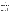submittals. Electronic submittals facilitate the review process and also aid in the Agency's mission to limit use of paper.

**Confidential Business Information.** In accordance with 40 CFR 2.203, applicants may claim all of a portion of their application/proposal as confidential business information. EPA will evaluate confidentiality claims in accordance with 40 CFR Part 2. Applicants must clearly mark applications/proposals or portions of applications/proposals they claims as confidential. If no claim of confidentiality is made, EPA is not required to make the inquiry to the applicant other wise required by 40 CFR 2.204 ( $c$ )(2) prior to disclosure.

**Intent to Apply**: An informal notice of "Intent to Apply" simply states in the form of email (preferred), mail or fax that a school district intends to submit a application to be received by the deadline. In order to efficiently manage the selection process, please send an informal "Intent to Apply" by June 24, 2005 to:

Email: CSB\_RFA@epa.gov

- FAX: 734-214-4053
- Mail: Attn: Cheryl Dale (Mail Code AAIO), US EPA, National Vehicle and Fuel Emissions Laboratory, Certification and Compliance Division, 2000 Traverwood Drive, Ann Arbor, MI 48105.

Please provide name of the school district(s), its mailing address, point of contact, phone and fax numbers, email address and project title. Submitting an "Intent to Apply" does not commit a school district to submit a final application. The "Intent to Apply" is an optional submission; those districts not submitting an "Intent to Apply" are still eligible and may still apply by the deadline.

# **Section V – Application Review Information.**

# **A. Evaluation Criteria.**

Each eligible application, which has met the requirements of Sections III and IV, will be evaluated according to the criteria set forth below. Each application will be rated under a points system, with a total of 100 points possible.

| A. Evaluation Factors (Total – 100 points) |  |  |
|--------------------------------------------|--|--|
|                                            |  |  |

| <b>Criterion</b>                                                                                                                                               | <b>Maximum</b><br>Points per<br><b>Criterion</b> |
|----------------------------------------------------------------------------------------------------------------------------------------------------------------|--------------------------------------------------|
| <b>Fleet:</b> Extent to which the proposal adequately describes the fleet and its                                                                              |                                                  |
| history, and includes a Fleet Information Table, per Section IV.B.                                                                                             | 10                                               |
| Project Description and Implementation Plan: Extent to which the<br>application ably and thoroughly addresses each of the areas identified in<br>Section II.A. | 30                                               |
| <b>Clean Up Effectiveness:</b> Extent to which the project employs a highly                                                                                    |                                                  |
| effective diesel emissions reduction strategy, per Section II.B.                                                                                               | 10                                               |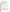| ∙∽~                            |
|--------------------------------|
| extent to                      |
| required                       |
| points).                       |
| for engin                      |
|                                |
| <b>B.</b> Other                |
| In additio                     |
| following                      |
|                                |
| 1. Geogra                      |
|                                |
| 2. Air Qu                      |
| poor air q                     |
| designation                    |
|                                |
| 3. Enviro                      |
| income, s                      |
| diesel vel                     |
|                                |
| 4. Techno                      |
| technolog                      |
|                                |
| $\mathbf{C}$ .<br><b>Revie</b> |
| Each appl                      |
| experienc                      |
| their eval                     |
| Evaluatio                      |
| the top fo                     |
| will be re                     |
| proposal(                      |
| $V(B)$ , Oth                   |
|                                |
| The Offic                      |
| and make                       |

| <b>Sustainability, Likelihood of Success and Partner Support:</b> Extent to which<br>the project appears sustainable, likely to succeed and has evidence of support<br>of partners. The extent to which the application covers more than one district<br>or fleet.                                                                                                             | 15 |
|--------------------------------------------------------------------------------------------------------------------------------------------------------------------------------------------------------------------------------------------------------------------------------------------------------------------------------------------------------------------------------|----|
| <b>Performance Measurement:</b> Extent to which an adequate plan is presented<br>for tracking and measuring progress toward achieving the expected<br>environmental outputs/outcomes identified in Section I.                                                                                                                                                                  | 10 |
| <b>Policy Support:</b> Extent to which the school district's current policies which<br>support pollution reduction efforts, especially idling reduction, are presented<br>(per Section $IV.B.3$ ).                                                                                                                                                                             | 10 |
| <b>Budget Reasonableness/Presentation and Financial Contribution:</b> The<br>extent to which the budget for the project is reasonable and includes all<br>required categories, including the matching contribution per Section IV.B.3 (5)<br>points). The extent to which the applicant contributes to the project, especially<br>for engine and bus replacements (10 points). | 15 |

## **Factors.**

In to the above merit criteria, EPA, in evaluating applications, will also consider the other factors in selecting applications for award:

1. applic Dispersion: EPA will attempt to distribute funds throughout the United States.

uality: EPA is interested in knowing if the school buses operate within an area that has poor air quality. Poor air quality areas can consist of areas designated (or at risk of future on) by EPA to be in non-attainment or maintenance for a criteria pollutant.

nmental Justice: EPA seeks to improve the health of communities that are considered lowincome, suffer from high rate of asthma, or receive a disproportionate amount of pollution from hicles.

blogy Diversity: EPA is interested in some diversity in the various emissions control the employed in the projects.

# **EW and Selection Process.**

lication will be evaluated by an EPA Regional and Headquarters staff team chosen for their experience with a full range of transportation air quality matters. The Evaluation Teams will base uations solely on the selection criteria disclosed in this notice (*See Section V(A)*, *Evaluation Criteria).* Once the Evaluation Teams have completed their evaluations, no fewer than ur applications from each Region will be submitted to a National Selection Panel which sponsible for applying other factors, per *Section V(B)*.. The highest numerically-ranked s) (subject to the quality of proposals, availability of funds, and consideration of *Section Puer Factors*) will be recommended for award to the EPA Grants Award Official(s).

e of Transportation and Air Quality expects to complete the Evaluation/Selection process recommendations to EPA's grants office by late summer, 2005. All applicants will be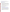notified promptly, after final selections, regarding their application's status.

At the time of notification, selectees will be invited to submit a completed and signed full federal grant application package. The complete grants application package can be downloaded at: [http://www.epa.gov/ogd/AppKit/index.htm.](http://www.epa.gov/ogd/AppKit/index.htm)

# **Section VI – Award Administration Information.**

## **A. Award Notices.**

Following final selections, all applicants will be notified regarding their application's status.

- 1. EPA anticipates notification to *successful* applicant(s) will be made via telephone, electronic or postal mail by September 30, 2005. This notification, which advises that the applicant's proposal has been selected and is being recommended for award, is not an authorization to begin performance. The award notice signed by the EPA grants officer is the authorizing document and will be provided through postal mail. At a minimum, this process can take up to 90 days from the date of selection.
- 2. EPA anticipates notification to *unsuccessful* applicant(s) will be made via electronic or postal mail within 15 days after final selection of successful applicants. In either event, the notification will be sent to the signer of the application.
- 3. EPA will notify applicants which do not meet the threshold eligibility criteria (per *Section III.C.*) within 15 days of EPA's decision on application eligibility.

# **B. Administrative and National Policy Requirements.**

- 1. A listing and description of general EPA Regulations applicable to the award of assistance agreements may be viewed at: [http://www.epa.gov/ogd/AppKit/applicable\\_epa\\_regulations\\_and\\_description.htm.](http://www.epa.gov/ogd/AppKit/applicable_epa_regulations_and_description.htm)
- a. Executive Order 12372, Intergovernmental Review of Federal Programs may be applicable to awards, resulting from this announcement. Applicants *selected* for funding may be required to provide a copy of their proposal to their [State Point of Contact](http://www.whitehouse.gov/omb/grants/spoc.html) (SPOC) for review, pursuant to Executive Order 12372, Intergovernmental Review of Federal Programs. This review is not required with the Initial Proposal and not all states require such a review.
- b. All applicants are required to provide a Dun and Bradstreet (D&B) Data Universal Numbering System (DUNS) number when applying for a Federal grant or cooperative agreement. Applicants can receive a DUNS number, at no cost, by calling the dedicated tollfree DUNS Number request line at 1-866-705-5711, or visiting the D&B website at: <http://www.dnb.com>.